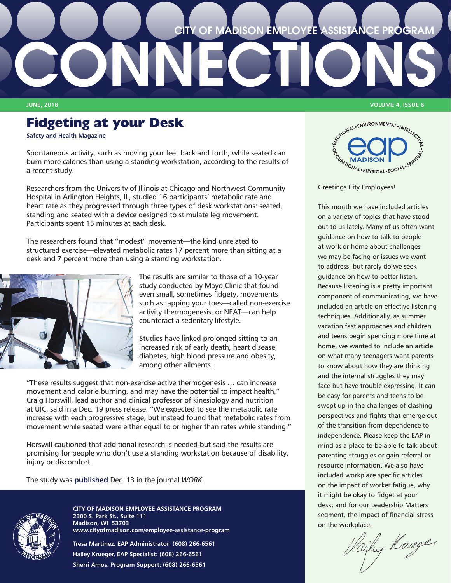# **CITY OF MADISON EMPLOYEE ASSISTANCE PROGRAM**

**JUNE, 2018 VOLUME 4, ISSUE 6**

# **Fidgeting at your Desk**

**[Safety and Health Magazine](http://www.safetyandhealthmagazine.com/articles/16648-fidgeting-at-your-desk-may-burn-more-calories-than-using-a-standing-workstation-study-suggests)**

Spontaneous activity, such as moving your feet back and forth, while seated can burn more calories than using a standing workstation, according to the results of a recent study.

**CONNECT** 

Researchers from the University of Illinois at Chicago and Northwest Community Hospital in Arlington Heights, IL, studied 16 participants' metabolic rate and heart rate as they progressed through three types of desk workstations: seated, standing and seated with a device designed to stimulate leg movement. Participants spent 15 minutes at each desk.

The researchers found that "modest" movement—the kind unrelated to structured exercise—elevated metabolic rates 17 percent more than sitting at a desk and 7 percent more than using a standing workstation.



The results are similar to those of a 10-year study conducted by Mayo Clinic that found even small, sometimes fidgety, movements such as tapping your toes—called non-exercise activity thermogenesis, or NEAT—can help counteract a sedentary lifestyle.

Studies have linked prolonged sitting to an increased risk of early death, heart disease, diabetes, high blood pressure and obesity, among other ailments.

"These results suggest that non-exercise active thermogenesis … can increase movement and calorie burning, and may have the potential to impact health," Craig Horswill, lead author and clinical professor of kinesiology and nutrition at UIC, said in a Dec. 19 press release. "We expected to see the metabolic rate increase with each progressive stage, but instead found that metabolic rates from movement while seated were either equal to or higher than rates while standing."

Horswill cautioned that additional research is needed but said the results are promising for people who don't use a standing workstation because of disability, injury or discomfort.

The study was **[published](https://content.iospress.com/articles/work/wor2640)** Dec. 13 in the journal *WORK.*



**CITY OF MADISON EMPLOYEE ASSISTANCE PROGRAM 2300 S. Park St., Suite 111 Madison, WI 53703 [www.cityofmadison.com/employee-assistance-program](http://www.cityofmadison.com/employee-assistance-program)**

**Tresa Martinez, EAP Administrator: (608) 266-6561 Hailey Krueger, EAP Specialist: (608) 266-6561 Sherri Amos, Program Support: (608) 266-6561**



Greetings City Employees!

This month we have included articles on a variety of topics that have stood out to us lately. Many of us often want guidance on how to talk to people at work or home about challenges we may be facing or issues we want to address, but rarely do we seek guidance on how to better listen. Because listening is a pretty important component of communicating, we have included an article on effective listening techniques. Additionally, as summer vacation fast approaches and children and teens begin spending more time at home, we wanted to include an article on what many teenagers want parents to know about how they are thinking and the internal struggles they may face but have trouble expressing. It can be easy for parents and teens to be swept up in the challenges of clashing perspectives and fights that emerge out of the transition from dependence to independence. Please keep the EAP in mind as a place to be able to talk about parenting struggles or gain referral or resource information. We also have included workplace specific articles on the impact of worker fatigue, why it might be okay to fidget at your desk, and for our Leadership Matters segment, the impact of financial stress

on the workplace.<br>Hayley Kunger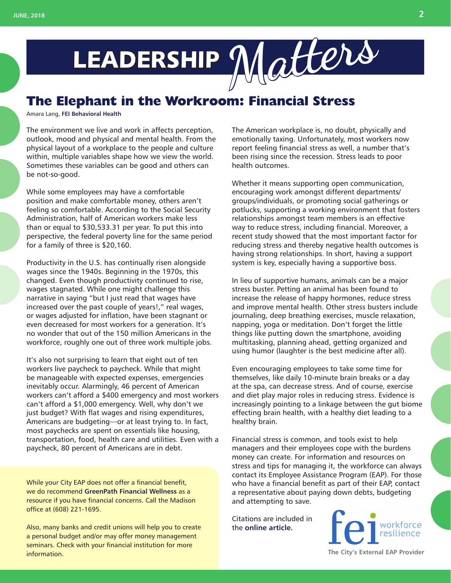

# **The Elephant in the Workroom: Financial Stress**

Amara Lang, **[FEI Behavioral Health](https://www.feieap.com/)**

The environment we live and work in affects perception, outlook, mood and physical and mental health. From the physical layout of a workplace to the people and culture within, multiple variables shape how we view the world. Sometimes these variables can be good and others can be not-so-good.

While some employees may have a comfortable position and make comfortable money, others aren't feeling so comfortable. According to the Social Security Administration, half of American workers make less than or equal to \$30,533.31 per year. To put this into perspective, the federal poverty line for the same period for a family of three is \$20,160.

Productivity in the U.S. has continually risen alongside wages since the 1940s. Beginning in the 1970s, this changed. Even though productivity continued to rise, wages stagnated. While one might challenge this narrative in saying "but I just read that wages have increased over the past couple of years!," real wages, or wages adjusted for inflation, have been stagnant or even decreased for most workers for a generation. It's no wonder that out of the 150 million Americans in the workforce, roughly one out of three work multiple jobs.

It's also not surprising to learn that eight out of ten workers live paycheck to paycheck. While that might be manageable with expected expenses, emergencies inevitably occur. Alarmingly, 46 percent of American workers can't afford a \$400 emergency and most workers can't afford a \$1,000 emergency. Well, why don't we just budget? With flat wages and rising expenditures, Americans are budgeting—or at least trying to. In fact, most paychecks are spent on essentials like housing, transportation, food, health care and utilities. Even with a paycheck, 80 percent of Americans are in debt.

While your City EAP does not offer a financial benefit, we do recommend **[GreenPath Financial Wellness](http://www.greenpath.com/)** as a resource if you have financial concerns. Call the Madison office at (608) 221-1695.

Also, many banks and credit unions will help you to create a personal budget and/or may offer money management seminars. Check with your financial institution for more information. **[The City's External EAP Provider](http://www.feieap.com/)**

The American workplace is, no doubt, physically and emotionally taxing. Unfortunately, most workers now report feeling financial stress as well, a number that's been rising since the recession. Stress leads to poor health outcomes.

Whether it means supporting open communication, encouraging work amongst different departments/ groups/individuals, or promoting social gatherings or potlucks, supporting a working environment that fosters relationships amongst team members is an effective way to reduce stress, including financial. Moreover, a recent study showed that the most important factor for reducing stress and thereby negative health outcomes is having strong relationships. In short, having a support system is key, especially having a supportive boss.

In lieu of supportive humans, animals can be a major stress buster. Petting an animal has been found to increase the release of happy hormones, reduce stress and improve mental health. Other stress busters include journaling, deep breathing exercises, muscle relaxation, napping, yoga or meditation. Don't forget the little things like putting down the smartphone, avoiding multitasking, planning ahead, getting organized and using humor (laughter is the best medicine after all).

Even encouraging employees to take some time for themselves, like daily 10-minute brain breaks or a day at the spa, can decrease stress. And of course, exercise and diet play major roles in reducing stress. Evidence is increasingly pointing to a linkage between the gut biome effecting brain health, with a healthy diet leading to a healthy brain.

Financial stress is common, and tools exist to help managers and their employees cope with the burdens money can create. For information and resources on stress and tips for managing it, the workforce can always contact its Employee Assistance Program (EAP). For those who have a financial benefit as part of their EAP, contact a representative about paying down debts, budgeting and attempting to save.

Citations are included in the **[online article.](http://www.feinet.com/news/elephant-workroom-financial-stress)**

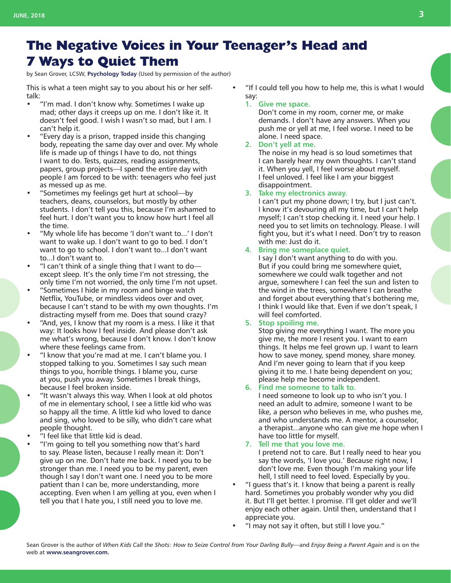# **The Negative Voices in Your Teenager's Head and 7 Ways to Quiet Them**

by Sean Grover, LCSW, **[Psychology Today](https://www.psychologytoday.com/us/experts/sean-grover-lcsw)** (Used by permission of the author)

This is what a teen might say to you about his or her selftalk:

- "I'm mad. I don't know why. Sometimes I wake up mad; other days it creeps up on me. I don't like it. It doesn't feel good. I wish I wasn't so mad, but I am. I can't help it.
- "Every day is a prison, trapped inside this changing body, repeating the same day over and over. My whole life is made up of things I have to do, not things I want to do. Tests, quizzes, reading assignments, papers, group projects—I spend the entire day with people I am forced to be with: teenagers who feel just as messed up as me.
- "Sometimes my feelings get hurt at school—by teachers, deans, counselors, but mostly by other students. I don't tell you this, because I'm ashamed to feel hurt. I don't want you to know how hurt I feel all the time.
- "My whole life has become 'I don't want to...' I don't want to wake up. I don't want to go to bed. I don't want to go to school. I don't want to...I don't want to...I don't want to.
- "I can't think of a single thing that I want to do except sleep. It's the only time I'm not stressing, the only time I'm not worried, the only time I'm not upset.
- "Sometimes I hide in my room and binge watch Netflix, YouTube, or mindless videos over and over, because I can't stand to be with my own thoughts. I'm distracting myself from me. Does that sound crazy?
- "And, yes, I know that my room is a mess. I like it that way: It looks how I feel inside. And please don't ask me what's wrong, because I don't know. I don't know where these feelings came from.
- "I know that you're mad at me. I can't blame you. I stopped talking to you. Sometimes I say such mean things to you, horrible things. I blame you, curse at you, push you away. Sometimes I break things, because I feel broken inside.
- "It wasn't always this way. When I look at old photos of me in elementary school, I see a little kid who was so happy all the time. A little kid who loved to dance and sing, who loved to be silly, who didn't care what people thought.
- "I feel like that little kid is dead.
- "I'm going to tell you something now that's hard to say. Please listen, because I really mean it: Don't give up on me. Don't hate me back. I need you to be stronger than me. I need you to be my parent, even though I say I don't want one. I need you to be more patient than I can be, more understanding, more accepting. Even when I am yelling at you, even when I tell you that I hate you, I still need you to love me.
- "If I could tell you how to help me, this is what I would say:
	- **1. Give me space.**

Don't come in my room, corner me, or make demands. I don't have any answers. When you push me or yell at me, I feel worse. I need to be alone. I need space.

**2. Don't yell at me.**

The noise in my head is so loud sometimes that I can barely hear my own thoughts. I can't stand it. When you yell, I feel worse about myself. I feel unloved. I feel like I am your biggest disappointment.

### **3. Take my electronics away.**

I can't put my phone down; I try, but I just can't. I know it's devouring all my time, but I can't help myself; I can't stop checking it. I need your help. I need you to set limits on technology. Please. I will fight you, but it's what I need. Don't try to reason with me: Just do it.

### **4. Bring me someplace quiet.**

I say I don't want anything to do with you. But if you could bring me somewhere quiet, somewhere we could walk together and not argue, somewhere I can feel the sun and listen to the wind in the trees, somewhere I can breathe and forget about everything that's bothering me, I think I would like that. Even if we don't speak, I will feel comforted.

### **5. Stop spoiling me.**

Stop giving me everything I want. The more you give me, the more I resent you. I want to earn things. It helps me feel grown up. I want to learn how to save money, spend money, share money. And I'm never going to learn that if you keep giving it to me. I hate being dependent on you; please help me become independent.

### **6. Find me someone to talk to.**

I need someone to look up to who isn't you. I need an adult to admire, someone I want to be like, a person who believes in me, who pushes me, and who understands me. A mentor, a counselor, a therapist...anyone who can give me hope when I have too little for myself.

# **7. Tell me that you love me.**

I pretend not to care. But I really need to hear you say the words, 'I love you.' Because right now, I don't love me. Even though I'm making your life hell, I still need to feel loved. Especially by you.

- "I guess that's it. I know that being a parent is really hard. Sometimes you probably wonder why you did it. But I'll get better. I promise. I'll get older and we'll enjoy each other again. Until then, understand that I appreciate you.
- "I may not say it often, but still I love you."

Sean Grover is the author of When Kids Call the Shots: How to Seize Control from Your Darling Bully—and Enjoy Being a Parent Again and is on the web at **[www.seangrover.com.](https://urldefense.proofpoint.com/v2/url?u=http-3A__www.seangrover.com_&d=DwMFaQ&c=byefhD2ZumMFFQYPZBagUCDuBiM9Q9twmxaBM0hCgII&r=Flm6XwIwwAWWlm5AXy3IuWoNwb0p22OTRrOSt4uOPdM&m=MBo8Kx9LMJX4fbx2vuai1cw4X5hChcdI5UolradLbq0&s=EKQ6pUmm1Vek6FhWAYswjpDhH1JShBGxb92RbZXFzn0&e=)**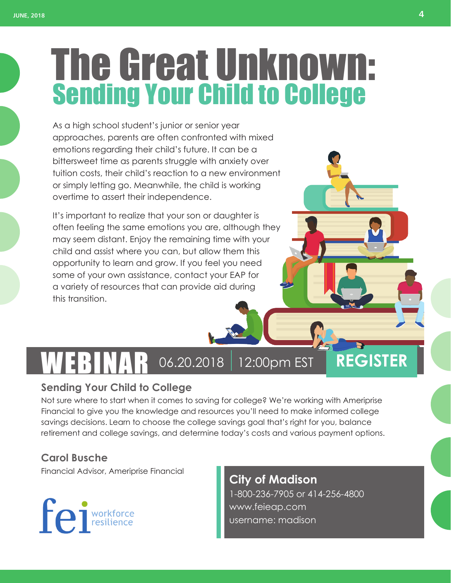# The Great Unknown: Sending Your Child to College

As a high school student's junior or senior year approaches, parents are often confronted with mixed emotions regarding their child's future. It can be a bittersweet time as parents struggle with anxiety over tuition costs, their child's reaction to a new environment or simply letting go. Meanwhile, the child is working overtime to assert their independence.

It's important to realize that your son or daughter is often feeling the same emotions you are, although they may seem distant. Enjoy the remaining time with your child and assist where you can, but allow them this opportunity to learn and grow. If you feel you need some of your own assistance, contact your EAP for a variety of resources that can provide aid during this transition.

# WEBINAR 06.20.2018 12:00pm EST **REGISTER**

## **Sending Your Child to College**

Not sure where to start when it comes to saving for college? We're working with Ameriprise Financial to give you the knowledge and resources you'll need to make informed college savings decisions. Learn to choose the college savings goal that's right for you, balance retirement and college savings, and determine today's costs and various payment options.

# **Carol Busche**

Financial Advisor, Ameriprise Financial

# **Pe de la properte de la properte de la properte de la properte de la properte de la properte de la properte d**

**City of Madison** 1-800-236-7905 or 414-256-4800 www.feieap.com username: madison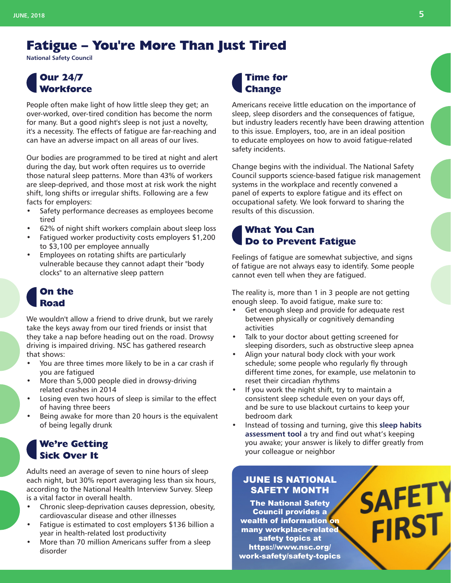# **Fatigue – You're More Than Just Tired**

**[National Safety Council](https://www.nsc.org/home)**

### **Our 24/7 Workforce**

People often make light of how little sleep they get; an over-worked, over-tired condition has become the norm for many. But a good night's sleep is not just a novelty, it's a necessity. The effects of fatigue are far-reaching and can have an adverse impact on all areas of our lives.

Our bodies are programmed to be tired at night and alert during the day, but work often requires us to override those natural sleep patterns. More than 43% of workers are sleep-deprived, and those most at risk work the night shift, long shifts or irregular shifts. Following are a few facts for employers:

- Safety performance decreases as employees become tired
- 62% of night shift workers complain about sleep loss
- Fatigued worker productivity costs employers \$1,200 to \$3,100 per employee annually
- Employees on rotating shifts are particularly vulnerable because they cannot adapt their "body clocks" to an alternative sleep pattern

### **On the Road**

We wouldn't allow a friend to drive drunk, but we rarely take the keys away from our tired friends or insist that they take a nap before heading out on the road. Drowsy driving is impaired driving. NSC has gathered research that shows:

- You are three times more likely to be in a car crash if you are fatigued
- More than 5,000 people died in drowsy-driving related crashes in 2014
- Losing even two hours of sleep is similar to the effect of having three beers
- Being awake for more than 20 hours is the equivalent of being legally drunk

### **We're Getting Sick Over It**

Adults need an average of seven to nine hours of sleep each night, but 30% report averaging less than six hours, according to the National Health Interview Survey. Sleep is a vital factor in overall health.

- Chronic sleep-deprivation causes depression, obesity, cardiovascular disease and other illnesses
- Fatigue is estimated to cost employers \$136 billion a year in health-related lost productivity
- More than 70 million Americans suffer from a sleep disorder

### **Time for Change**

Americans receive little education on the importance of sleep, sleep disorders and the consequences of fatigue, but industry leaders recently have been drawing attention to this issue. Employers, too, are in an ideal position to educate employees on how to avoid fatigue-related safety incidents.

Change begins with the individual. The National Safety Council supports science-based fatigue risk management systems in the workplace and recently convened a panel of experts to explore fatigue and its effect on occupational safety. We look forward to sharing the results of this discussion.

### **What You Can Do to Prevent Fatigue**

Feelings of fatigue are somewhat subjective, and signs of fatigue are not always easy to identify. Some people cannot even tell when they are fatigued.

The reality is, more than 1 in 3 people are not getting enough sleep. To avoid fatigue, make sure to:

- Get enough sleep and provide for adequate rest between physically or cognitively demanding activities
- Talk to your doctor about getting screened for sleeping disorders, such as obstructive sleep apnea
- Align your natural body clock with your work schedule; some people who regularly fly through different time zones, for example, use melatonin to reset their circadian rhythms
- If you work the night shift, try to maintain a consistent sleep schedule even on your days off, and be sure to use blackout curtains to keep your bedroom dark
- Instead of tossing and turning, give this **[sleep habits](https://www.webmd.com/sleep-disorders/sleep-habits-assessment)  [assessment tool](https://www.webmd.com/sleep-disorders/sleep-habits-assessment)** a try and find out what's keeping you awake; your answer is likely to differ greatly from your colleague or neighbor

### JUNE IS NATIONAL SAFETY MONTH

The National Safety Council provides a wealth of information on many workplace-related safety topics at [https://www.nsc.org/](https://www.nsc.org/work-safety/safety-topics) [work-safety/safety-topics](https://www.nsc.org/work-safety/safety-topics) SAFETY **FIRS1**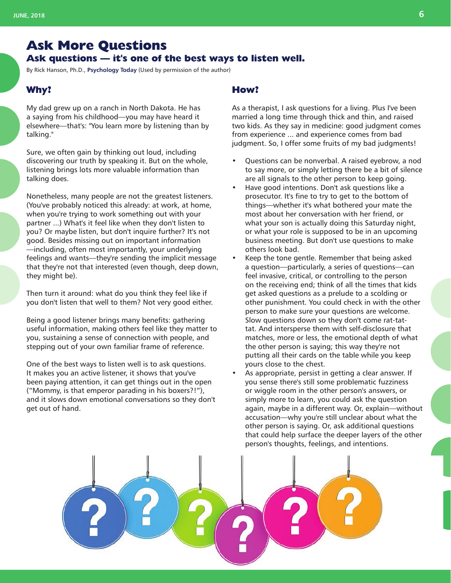# **Ask More Questions**

#### **Ask questions — it's one of the best ways to listen well.**

By Rick Hanson, Ph.D., **[Psychology Today](https://www.psychologytoday.com/us/experts/rick-hanson-phd)** (Used by permission of the author)

### **Why?**

My dad grew up on a ranch in North Dakota. He has a saying from his childhood—you may have heard it elsewhere—that's: "You learn more by listening than by talking."

Sure, we often gain by thinking out loud, including discovering our truth by speaking it. But on the whole, listening brings lots more valuable information than talking does.

Nonetheless, many people are not the greatest listeners. (You've probably noticed this already: at work, at home, when you're trying to work something out with your partner ...) What's it feel like when they don't listen to you? Or maybe listen, but don't inquire further? It's not good. Besides missing out on important information —including, often most importantly, your underlying feelings and wants—they're sending the implicit message that they're not that interested (even though, deep down, they might be).

Then turn it around: what do you think they feel like if you don't listen that well to them? Not very good either.

Being a good listener brings many benefits: gathering useful information, making others feel like they matter to you, sustaining a sense of connection with people, and stepping out of your own familiar frame of reference.

One of the best ways to listen well is to ask questions. It makes you an active listener, it shows that you've been paying attention, it can get things out in the open ("Mommy, is that emperor parading in his boxers?!"), and it slows down emotional conversations so they don't get out of hand.

### **How?**

As a therapist, I ask questions for a living. Plus I've been married a long time through thick and thin, and raised two kids. As they say in medicine: good judgment comes from experience ... and experience comes from bad judgment. So, I offer some fruits of my bad judgments!

- Questions can be nonverbal. A raised eyebrow, a nod to say more, or simply letting there be a bit of silence are all signals to the other person to keep going.
- Have good intentions. Don't ask questions like a prosecutor. It's fine to try to get to the bottom of things—whether it's what bothered your mate the most about her conversation with her friend, or what your son is actually doing this Saturday night, or what your role is supposed to be in an upcoming business meeting. But don't use questions to make others look bad.
- Keep the tone gentle. Remember that being asked a question—particularly, a series of questions—can feel invasive, critical, or controlling to the person on the receiving end; think of all the times that kids get asked questions as a prelude to a scolding or other punishment. You could check in with the other person to make sure your questions are welcome. Slow questions down so they don't come rat-tattat. And intersperse them with self-disclosure that matches, more or less, the emotional depth of what the other person is saying; this way they're not putting all their cards on the table while you keep yours close to the chest.
- As appropriate, persist in getting a clear answer. If you sense there's still some problematic fuzziness or wiggle room in the other person's answers, or simply more to learn, you could ask the question again, maybe in a different way. Or, explain—without accusation—why you're still unclear about what the other person is saying. Or, ask additional questions that could help surface the deeper layers of the other person's thoughts, feelings, and intentions.